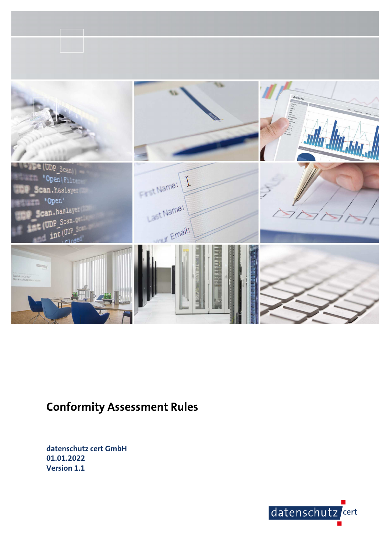

# **Conformity Assessment Rules**

**datenschutz cert GmbH 01.01.2022 Version 1.1** 

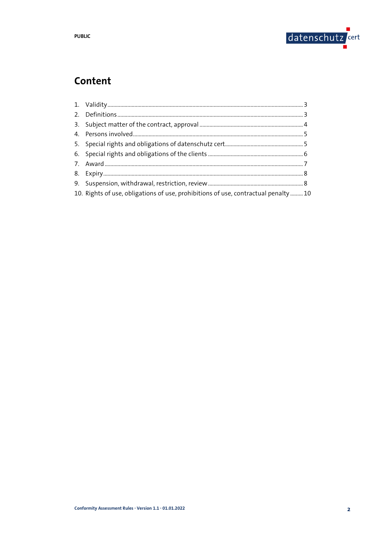

# Content

| 10. Rights of use, obligations of use, prohibitions of use, contractual penalty  10 |  |
|-------------------------------------------------------------------------------------|--|
|                                                                                     |  |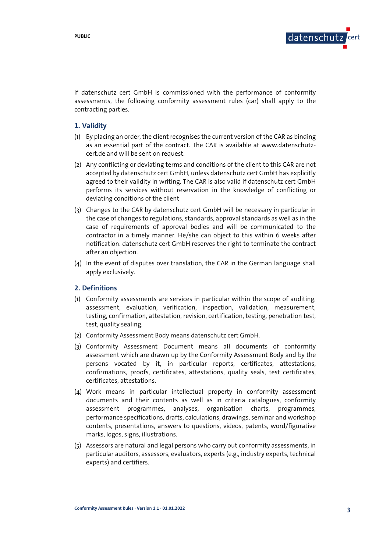

If datenschutz cert GmbH is commissioned with the performance of conformity assessments, the following conformity assessment rules (car) shall apply to the contracting parties.

# **1. Validity**

- (1) By placing an order, the client recognises the current version of the CAR as binding as an essential part of the contract. The CAR is available at www.datenschutzcert.de and will be sent on request.
- (2) Any conflicting or deviating terms and conditions of the client to this CAR are not accepted by datenschutz cert GmbH, unless datenschutz cert GmbH has explicitly agreed to their validity in writing. The CAR is also valid if datenschutz cert GmbH performs its services without reservation in the knowledge of conflicting or deviating conditions of the client
- (3) Changes to the CAR by datenschutz cert GmbH will be necessary in particular in the case of changes to regulations, standards, approval standards as well as in the case of requirements of approval bodies and will be communicated to the contractor in a timely manner. He/she can object to this within 6 weeks after notification. datenschutz cert GmbH reserves the right to terminate the contract after an objection.
- (4) In the event of disputes over translation, the CAR in the German language shall apply exclusively.

#### **2. Definitions**

- (1) Conformity assessments are services in particular within the scope of auditing, assessment, evaluation, verification, inspection, validation, measurement, testing, confirmation, attestation, revision, certification, testing, penetration test, test, quality sealing.
- (2) Conformity Assessment Body means datenschutz cert GmbH.
- (3) Conformity Assessment Document means all documents of conformity assessment which are drawn up by the Conformity Assessment Body and by the persons vocated by it, in particular reports, certificates, attestations, confirmations, proofs, certificates, attestations, quality seals, test certificates, certificates, attestations.
- (4) Work means in particular intellectual property in conformity assessment documents and their contents as well as in criteria catalogues, conformity assessment programmes, analyses, organisation charts, programmes, performance specifications, drafts, calculations, drawings, seminar and workshop contents, presentations, answers to questions, videos, patents, word/figurative marks, logos, signs, illustrations.
- (5) Assessors are natural and legal persons who carry out conformity assessments, in particular auditors, assessors, evaluators, experts (e.g., industry experts, technical experts) and certifiers.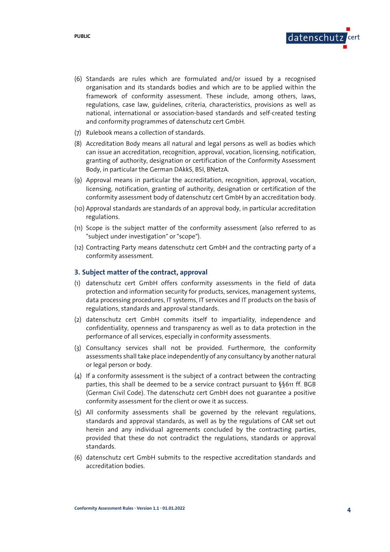

- (6) Standards are rules which are formulated and/or issued by a recognised organisation and its standards bodies and which are to be applied within the framework of conformity assessment. These include, among others, laws, regulations, case law, guidelines, criteria, characteristics, provisions as well as national, international or association-based standards and self-created testing and conformity programmes of datenschutz cert GmbH.
- (7) Rulebook means a collection of standards.
- (8) Accreditation Body means all natural and legal persons as well as bodies which can issue an accreditation, recognition, approval, vocation, licensing, notification, granting of authority, designation or certification of the Conformity Assessment Body, in particular the German DAkkS, BSI, BNetzA.
- (9) Approval means in particular the accreditation, recognition, approval, vocation, licensing, notification, granting of authority, designation or certification of the conformity assessment body of datenschutz cert GmbH by an accreditation body.
- (10) Approval standards are standards of an approval body, in particular accreditation regulations.
- (11) Scope is the subject matter of the conformity assessment (also referred to as "subject under investigation" or "scope").
- (12) Contracting Party means datenschutz cert GmbH and the contracting party of a conformity assessment.

# **3. Subject matter of the contract, approval**

- (1) datenschutz cert GmbH offers conformity assessments in the field of data protection and information security for products, services, management systems, data processing procedures, IT systems, IT services and IT products on the basis of regulations, standards and approval standards.
- (2) datenschutz cert GmbH commits itself to impartiality, independence and confidentiality, openness and transparency as well as to data protection in the performance of all services, especially in conformity assessments.
- (3) Consultancy services shall not be provided. Furthermore, the conformity assessments shall take place independently of any consultancy by another natural or legal person or body.
- (4) If a conformity assessment is the subject of a contract between the contracting parties, this shall be deemed to be a service contract pursuant to §§611 ff. BGB (German Civil Code). The datenschutz cert GmbH does not guarantee a positive conformity assessment for the client or owe it as success.
- (5) All conformity assessments shall be governed by the relevant regulations, standards and approval standards, as well as by the regulations of CAR set out herein and any individual agreements concluded by the contracting parties, provided that these do not contradict the regulations, standards or approval standards.
- (6) datenschutz cert GmbH submits to the respective accreditation standards and accreditation bodies.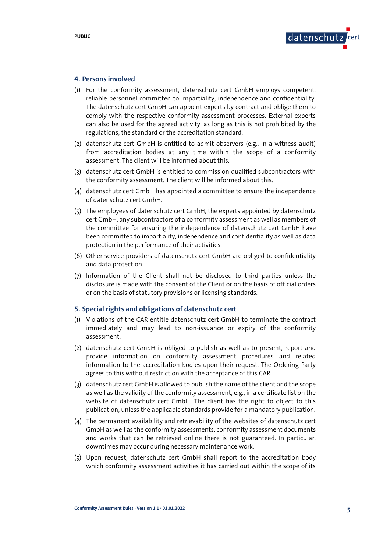

#### **4. Persons involved**

- (1) For the conformity assessment, datenschutz cert GmbH employs competent, reliable personnel committed to impartiality, independence and confidentiality. The datenschutz cert GmbH can appoint experts by contract and oblige them to comply with the respective conformity assessment processes. External experts can also be used for the agreed activity, as long as this is not prohibited by the regulations, the standard or the accreditation standard.
- (2) datenschutz cert GmbH is entitled to admit observers (e.g., in a witness audit) from accreditation bodies at any time within the scope of a conformity assessment. The client will be informed about this.
- (3) datenschutz cert GmbH is entitled to commission qualified subcontractors with the conformity assessment. The client will be informed about this.
- (4) datenschutz cert GmbH has appointed a committee to ensure the independence of datenschutz cert GmbH.
- (5) The employees of datenschutz cert GmbH, the experts appointed by datenschutz cert GmbH, any subcontractors of a conformity assessment as well as members of the committee for ensuring the independence of datenschutz cert GmbH have been committed to impartiality, independence and confidentiality as well as data protection in the performance of their activities.
- (6) Other service providers of datenschutz cert GmbH are obliged to confidentiality and data protection.
- (7) Information of the Client shall not be disclosed to third parties unless the disclosure is made with the consent of the Client or on the basis of official orders or on the basis of statutory provisions or licensing standards.

#### **5. Special rights and obligations of datenschutz cert**

- (1) Violations of the CAR entitle datenschutz cert GmbH to terminate the contract immediately and may lead to non-issuance or expiry of the conformity assessment.
- (2) datenschutz cert GmbH is obliged to publish as well as to present, report and provide information on conformity assessment procedures and related information to the accreditation bodies upon their request. The Ordering Party agrees to this without restriction with the acceptance of this CAR.
- (3) datenschutz cert GmbH is allowed to publish the name of the client and the scope as well as the validity of the conformity assessment, e.g., in a certificate list on the website of datenschutz cert GmbH. The client has the right to object to this publication, unless the applicable standards provide for a mandatory publication.
- (4) The permanent availability and retrievability of the websites of datenschutz cert GmbH as well as the conformity assessments, conformity assessment documents and works that can be retrieved online there is not guaranteed. In particular, downtimes may occur during necessary maintenance work.
- (5) Upon request, datenschutz cert GmbH shall report to the accreditation body which conformity assessment activities it has carried out within the scope of its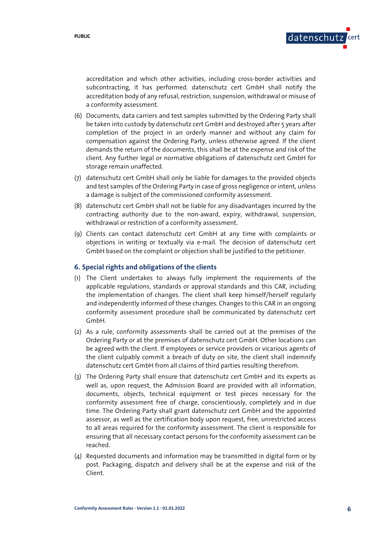

accreditation and which other activities, including cross-border activities and subcontracting, it has performed. datenschutz cert GmbH shall notify the accreditation body of any refusal, restriction, suspension, withdrawal or misuse of a conformity assessment.

- (6) Documents, data carriers and test samples submitted by the Ordering Party shall be taken into custody by datenschutz cert GmbH and destroyed after 5 years after completion of the project in an orderly manner and without any claim for compensation against the Ordering Party, unless otherwise agreed. If the client demands the return of the documents, this shall be at the expense and risk of the client. Any further legal or normative obligations of datenschutz cert GmbH for storage remain unaffected.
- (7) datenschutz cert GmbH shall only be liable for damages to the provided objects and test samples of the Ordering Party in case of gross negligence or intent, unless a damage is subject of the commissioned conformity assessment.
- (8) datenschutz cert GmbH shall not be liable for any disadvantages incurred by the contracting authority due to the non-award, expiry, withdrawal, suspension, withdrawal or restriction of a conformity assessment.
- (9) Clients can contact datenschutz cert GmbH at any time with complaints or objections in writing or textually via e-mail. The decision of datenschutz cert GmbH based on the complaint or objection shall be justified to the petitioner.

#### **6. Special rights and obligations of the clients**

- (1) The Client undertakes to always fully implement the requirements of the applicable regulations, standards or approval standards and this CAR, including the implementation of changes. The client shall keep himself/herself regularly and independently informed of these changes. Changes to this CAR in an ongoing conformity assessment procedure shall be communicated by datenschutz cert GmbH.
- (2) As a rule, conformity assessments shall be carried out at the premises of the Ordering Party or at the premises of datenschutz cert GmbH. Other locations can be agreed with the client. If employees or service providers or vicarious agents of the client culpably commit a breach of duty on site, the client shall indemnify datenschutz cert GmbH from all claims of third parties resulting therefrom.
- (3) The Ordering Party shall ensure that datenschutz cert GmbH and its experts as well as, upon request, the Admission Board are provided with all information, documents, objects, technical equipment or test pieces necessary for the conformity assessment free of charge, conscientiously, completely and in due time. The Ordering Party shall grant datenschutz cert GmbH and the appointed assessor, as well as the certification body upon request, free, unrestricted access to all areas required for the conformity assessment. The client is responsible for ensuring that all necessary contact persons for the conformity assessment can be reached.
- (4) Requested documents and information may be transmitted in digital form or by post. Packaging, dispatch and delivery shall be at the expense and risk of the Client.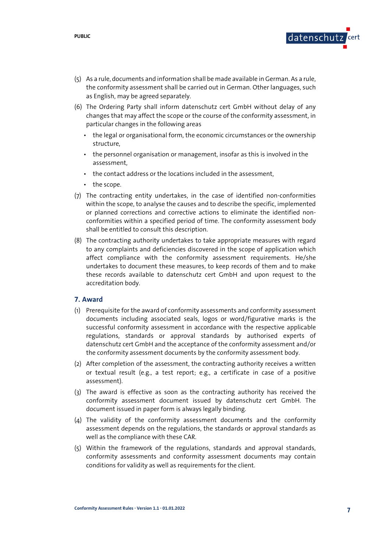

- (5) As a rule, documents and information shall be made available in German. As a rule, the conformity assessment shall be carried out in German. Other languages, such as English, may be agreed separately.
- (6) The Ordering Party shall inform datenschutz cert GmbH without delay of any changes that may affect the scope or the course of the conformity assessment, in particular changes in the following areas
	- the legal or organisational form, the economic circumstances or the ownership structure,
	- the personnel organisation or management, insofar as this is involved in the assessment,
	- the contact address or the locations included in the assessment,
	- the scope.
- (7) The contracting entity undertakes, in the case of identified non-conformities within the scope, to analyse the causes and to describe the specific, implemented or planned corrections and corrective actions to eliminate the identified nonconformities within a specified period of time. The conformity assessment body shall be entitled to consult this description.
- (8) The contracting authority undertakes to take appropriate measures with regard to any complaints and deficiencies discovered in the scope of application which affect compliance with the conformity assessment requirements. He/she undertakes to document these measures, to keep records of them and to make these records available to datenschutz cert GmbH and upon request to the accreditation body.

#### **7. Award**

- (1) Prerequisite for the award of conformity assessments and conformity assessment documents including associated seals, logos or word/figurative marks is the successful conformity assessment in accordance with the respective applicable regulations, standards or approval standards by authorised experts of datenschutz cert GmbH and the acceptance of the conformity assessment and/or the conformity assessment documents by the conformity assessment body.
- (2) After completion of the assessment, the contracting authority receives a written or textual result (e.g., a test report; e.g., a certificate in case of a positive assessment).
- (3) The award is effective as soon as the contracting authority has received the conformity assessment document issued by datenschutz cert GmbH. The document issued in paper form is always legally binding.
- (4) The validity of the conformity assessment documents and the conformity assessment depends on the regulations, the standards or approval standards as well as the compliance with these CAR.
- (5) Within the framework of the regulations, standards and approval standards, conformity assessments and conformity assessment documents may contain conditions for validity as well as requirements for the client.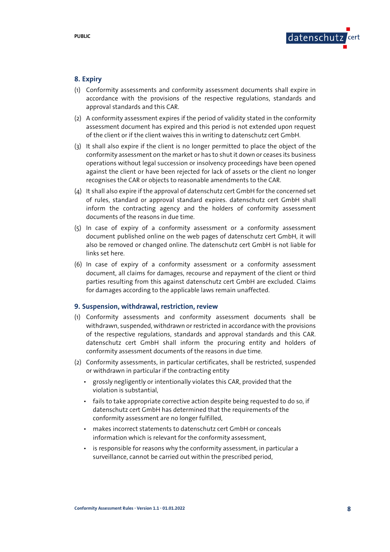

#### **8. Expiry**

- (1) Conformity assessments and conformity assessment documents shall expire in accordance with the provisions of the respective regulations, standards and approval standards and this CAR.
- (2) A conformity assessment expires if the period of validity stated in the conformity assessment document has expired and this period is not extended upon request of the client or if the client waives this in writing to datenschutz cert GmbH.
- (3) It shall also expire if the client is no longer permitted to place the object of the conformity assessment on the market or has to shut it down or ceases its business operations without legal succession or insolvency proceedings have been opened against the client or have been rejected for lack of assets or the client no longer recognises the CAR or objects to reasonable amendments to the CAR.
- (4) It shall also expire if the approval of datenschutz cert GmbH for the concerned set of rules, standard or approval standard expires. datenschutz cert GmbH shall inform the contracting agency and the holders of conformity assessment documents of the reasons in due time.
- (5) In case of expiry of a conformity assessment or a conformity assessment document published online on the web pages of datenschutz cert GmbH, it will also be removed or changed online. The datenschutz cert GmbH is not liable for links set here.
- (6) In case of expiry of a conformity assessment or a conformity assessment document, all claims for damages, recourse and repayment of the client or third parties resulting from this against datenschutz cert GmbH are excluded. Claims for damages according to the applicable laws remain unaffected.

### **9. Suspension, withdrawal, restriction, review**

- (1) Conformity assessments and conformity assessment documents shall be withdrawn, suspended, withdrawn or restricted in accordance with the provisions of the respective regulations, standards and approval standards and this CAR. datenschutz cert GmbH shall inform the procuring entity and holders of conformity assessment documents of the reasons in due time.
- (2) Conformity assessments, in particular certificates, shall be restricted, suspended or withdrawn in particular if the contracting entity
	- grossly negligently or intentionally violates this CAR, provided that the violation is substantial,
	- fails to take appropriate corrective action despite being requested to do so, if datenschutz cert GmbH has determined that the requirements of the conformity assessment are no longer fulfilled,
	- makes incorrect statements to datenschutz cert GmbH or conceals information which is relevant for the conformity assessment,
	- is responsible for reasons why the conformity assessment, in particular a surveillance, cannot be carried out within the prescribed period,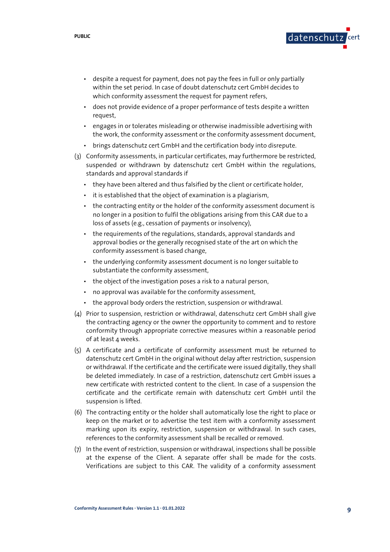- despite a request for payment, does not pay the fees in full or only partially within the set period. In case of doubt datenschutz cert GmbH decides to which conformity assessment the request for payment refers,
- does not provide evidence of a proper performance of tests despite a written request,
- engages in or tolerates misleading or otherwise inadmissible advertising with the work, the conformity assessment or the conformity assessment document,
- brings datenschutz cert GmbH and the certification body into disrepute.
- (3) Conformity assessments, in particular certificates, may furthermore be restricted, suspended or withdrawn by datenschutz cert GmbH within the regulations, standards and approval standards if
	- they have been altered and thus falsified by the client or certificate holder,
	- it is established that the object of examination is a plagiarism,
	- the contracting entity or the holder of the conformity assessment document is no longer in a position to fulfil the obligations arising from this CAR due to a loss of assets (e.g., cessation of payments or insolvency),
	- the requirements of the regulations, standards, approval standards and approval bodies or the generally recognised state of the art on which the conformity assessment is based change,
	- the underlying conformity assessment document is no longer suitable to substantiate the conformity assessment,
	- the object of the investigation poses a risk to a natural person,
	- no approval was available for the conformity assessment,
	- the approval body orders the restriction, suspension or withdrawal.
- (4) Prior to suspension, restriction or withdrawal, datenschutz cert GmbH shall give the contracting agency or the owner the opportunity to comment and to restore conformity through appropriate corrective measures within a reasonable period of at least 4 weeks.
- (5) A certificate and a certificate of conformity assessment must be returned to datenschutz cert GmbH in the original without delay after restriction, suspension or withdrawal. If the certificate and the certificate were issued digitally, they shall be deleted immediately. In case of a restriction, datenschutz cert GmbH issues a new certificate with restricted content to the client. In case of a suspension the certificate and the certificate remain with datenschutz cert GmbH until the suspension is lifted.
- (6) The contracting entity or the holder shall automatically lose the right to place or keep on the market or to advertise the test item with a conformity assessment marking upon its expiry, restriction, suspension or withdrawal. In such cases, references to the conformity assessment shall be recalled or removed.
- (7) In the event of restriction, suspension or withdrawal, inspections shall be possible at the expense of the Client. A separate offer shall be made for the costs. Verifications are subject to this CAR. The validity of a conformity assessment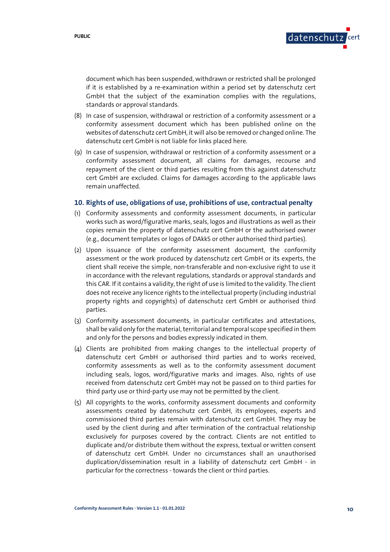

document which has been suspended, withdrawn or restricted shall be prolonged if it is established by a re-examination within a period set by datenschutz cert GmbH that the subject of the examination complies with the regulations, standards or approval standards.

- (8) In case of suspension, withdrawal or restriction of a conformity assessment or a conformity assessment document which has been published online on the websites of datenschutz cert GmbH, it will also be removed or changed online. The datenschutz cert GmbH is not liable for links placed here.
- (9) In case of suspension, withdrawal or restriction of a conformity assessment or a conformity assessment document, all claims for damages, recourse and repayment of the client or third parties resulting from this against datenschutz cert GmbH are excluded. Claims for damages according to the applicable laws remain unaffected.

#### **10. Rights of use, obligations of use, prohibitions of use, contractual penalty**

- (1) Conformity assessments and conformity assessment documents, in particular works such as word/figurative marks, seals, logos and illustrations as well as their copies remain the property of datenschutz cert GmbH or the authorised owner (e.g., document templates or logos of DAkkS or other authorised third parties).
- (2) Upon issuance of the conformity assessment document, the conformity assessment or the work produced by datenschutz cert GmbH or its experts, the client shall receive the simple, non-transferable and non-exclusive right to use it in accordance with the relevant regulations, standards or approval standards and this CAR. If it contains a validity, the right of use is limited to the validity. The client does not receive any licence rights to the intellectual property (including industrial property rights and copyrights) of datenschutz cert GmbH or authorised third parties.
- (3) Conformity assessment documents, in particular certificates and attestations, shall be valid only for the material, territorial and temporal scope specified in them and only for the persons and bodies expressly indicated in them.
- (4) Clients are prohibited from making changes to the intellectual property of datenschutz cert GmbH or authorised third parties and to works received, conformity assessments as well as to the conformity assessment document including seals, logos, word/figurative marks and images. Also, rights of use received from datenschutz cert GmbH may not be passed on to third parties for third party use or third-party use may not be permitted by the client.
- (5) All copyrights to the works, conformity assessment documents and conformity assessments created by datenschutz cert GmbH, its employees, experts and commissioned third parties remain with datenschutz cert GmbH. They may be used by the client during and after termination of the contractual relationship exclusively for purposes covered by the contract. Clients are not entitled to duplicate and/or distribute them without the express, textual or written consent of datenschutz cert GmbH. Under no circumstances shall an unauthorised duplication/dissemination result in a liability of datenschutz cert GmbH - in particular for the correctness - towards the client or third parties.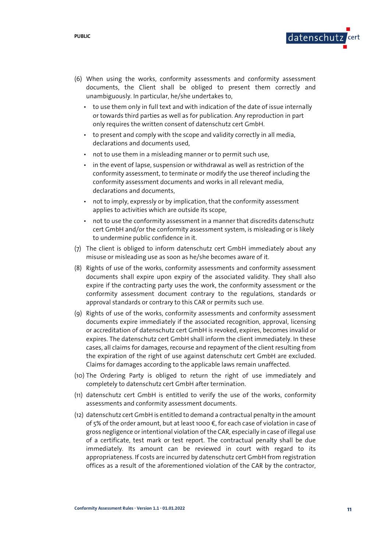

- (6) When using the works, conformity assessments and conformity assessment documents, the Client shall be obliged to present them correctly and unambiguously. In particular, he/she undertakes to,
	- to use them only in full text and with indication of the date of issue internally or towards third parties as well as for publication. Any reproduction in part only requires the written consent of datenschutz cert GmbH.
	- to present and comply with the scope and validity correctly in all media, declarations and documents used,
	- not to use them in a misleading manner or to permit such use,
	- in the event of lapse, suspension or withdrawal as well as restriction of the conformity assessment, to terminate or modify the use thereof including the conformity assessment documents and works in all relevant media, declarations and documents,
	- not to imply, expressly or by implication, that the conformity assessment applies to activities which are outside its scope,
	- not to use the conformity assessment in a manner that discredits datenschutz cert GmbH and/or the conformity assessment system, is misleading or is likely to undermine public confidence in it.
- (7) The client is obliged to inform datenschutz cert GmbH immediately about any misuse or misleading use as soon as he/she becomes aware of it.
- (8) Rights of use of the works, conformity assessments and conformity assessment documents shall expire upon expiry of the associated validity. They shall also expire if the contracting party uses the work, the conformity assessment or the conformity assessment document contrary to the regulations, standards or approval standards or contrary to this CAR or permits such use.
- (9) Rights of use of the works, conformity assessments and conformity assessment documents expire immediately if the associated recognition, approval, licensing or accreditation of datenschutz cert GmbH is revoked, expires, becomes invalid or expires. The datenschutz cert GmbH shall inform the client immediately. In these cases, all claims for damages, recourse and repayment of the client resulting from the expiration of the right of use against datenschutz cert GmbH are excluded. Claims for damages according to the applicable laws remain unaffected.
- (10) The Ordering Party is obliged to return the right of use immediately and completely to datenschutz cert GmbH after termination.
- (11) datenschutz cert GmbH is entitled to verify the use of the works, conformity assessments and conformity assessment documents.
- (12) datenschutz cert GmbH is entitled to demand a contractual penalty in the amount of 5% of the order amount, but at least 1000 €, for each case of violation in case of gross negligence or intentional violation of the CAR, especially in case of illegal use of a certificate, test mark or test report. The contractual penalty shall be due immediately. Its amount can be reviewed in court with regard to its appropriateness. If costs are incurred by datenschutz cert GmbH from registration offices as a result of the aforementioned violation of the CAR by the contractor,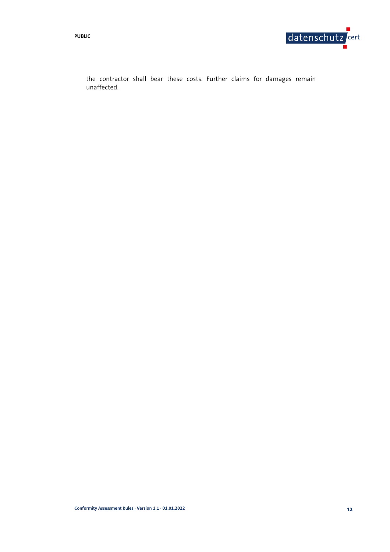**PUBLIC** 

the contractor shall bear these costs. Further claims for damages remain unaffected.